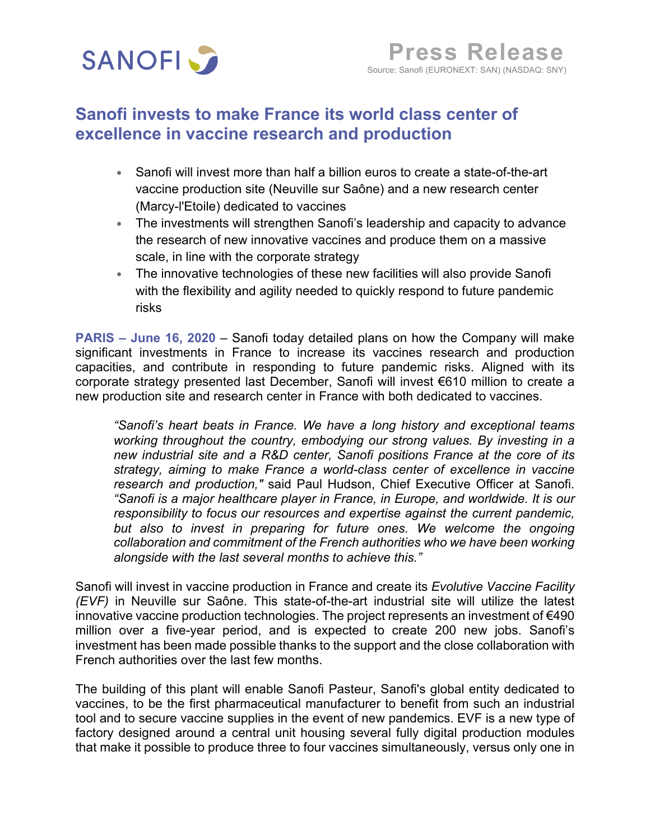

# **Sanofi invests to make France its world class center of excellence in vaccine research and production**

- \* Sanofi will invest more than half a billion euros to create a state-of-the-art vaccine production site (Neuville sur Saône) and a new research center (Marcy-l'Etoile) dedicated to vaccines
- \* The investments will strengthen Sanofi's leadership and capacity to advance the research of new innovative vaccines and produce them on a massive scale, in line with the corporate strategy
- \* The innovative technologies of these new facilities will also provide Sanofi with the flexibility and agility needed to quickly respond to future pandemic risks

**PARIS – June 16, 2020** – Sanofi today detailed plans on how the Company will make significant investments in France to increase its vaccines research and production capacities, and contribute in responding to future pandemic risks. Aligned with its corporate strategy presented last December, Sanofi will invest €610 million to create a new production site and research center in France with both dedicated to vaccines.

*"Sanofi's heart beats in France. We have a long history and exceptional teams working throughout the country, embodying our strong values. By investing in a new industrial site and a R&D center, Sanofi positions France at the core of its strategy, aiming to make France a world-class center of excellence in vaccine research and production,"* said Paul Hudson, Chief Executive Officer at Sanofi. *"Sanofi is a major healthcare player in France, in Europe, and worldwide. It is our responsibility to focus our resources and expertise against the current pandemic, but also to invest in preparing for future ones. We welcome the ongoing collaboration and commitment of the French authorities who we have been working alongside with the last several months to achieve this."*

Sanofi will invest in vaccine production in France and create its *Evolutive Vaccine Facility (EVF)* in Neuville sur Saône. This state-of-the-art industrial site will utilize the latest innovative vaccine production technologies. The project represents an investment of €490 million over a five-year period, and is expected to create 200 new jobs. Sanofi's investment has been made possible thanks to the support and the close collaboration with French authorities over the last few months.

The building of this plant will enable Sanofi Pasteur, Sanofi's global entity dedicated to vaccines, to be the first pharmaceutical manufacturer to benefit from such an industrial tool and to secure vaccine supplies in the event of new pandemics. EVF is a new type of factory designed around a central unit housing several fully digital production modules that make it possible to produce three to four vaccines simultaneously, versus only one in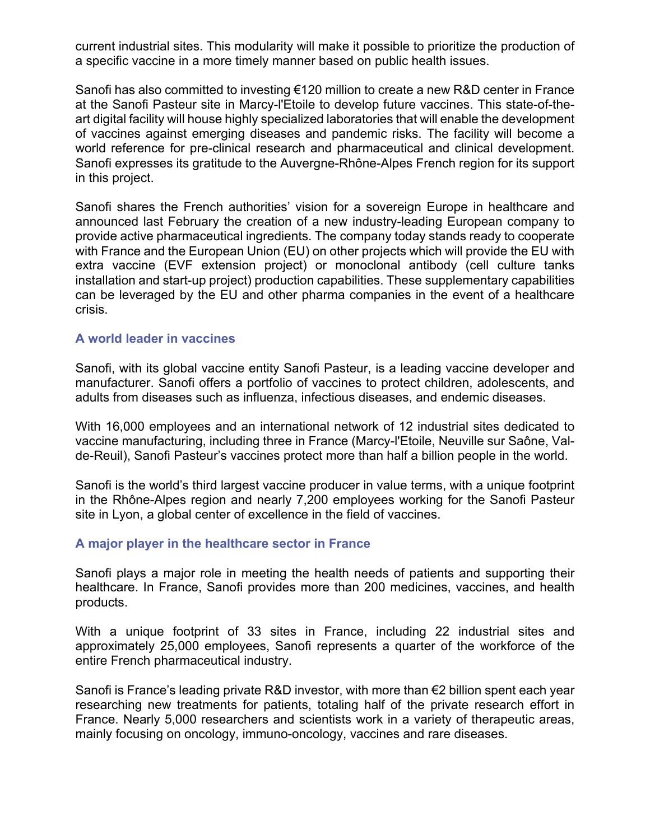current industrial sites. This modularity will make it possible to prioritize the production of a specific vaccine in a more timely manner based on public health issues.

Sanofi has also committed to investing €120 million to create a new R&D center in France at the Sanofi Pasteur site in Marcy-l'Etoile to develop future vaccines. This state-of-theart digital facility will house highly specialized laboratories that will enable the development of vaccines against emerging diseases and pandemic risks. The facility will become a world reference for pre-clinical research and pharmaceutical and clinical development. Sanofi expresses its gratitude to the Auvergne-Rhône-Alpes French region for its support in this project.

Sanofi shares the French authorities' vision for a sovereign Europe in healthcare and announced last February the creation of a new industry-leading European company to provide active pharmaceutical ingredients. The company today stands ready to cooperate with France and the European Union (EU) on other projects which will provide the EU with extra vaccine (EVF extension project) or monoclonal antibody (cell culture tanks installation and start-up project) production capabilities. These supplementary capabilities can be leveraged by the EU and other pharma companies in the event of a healthcare crisis.

### **A world leader in vaccines**

Sanofi, with its global vaccine entity Sanofi Pasteur, is a leading vaccine developer and manufacturer. Sanofi offers a portfolio of vaccines to protect children, adolescents, and adults from diseases such as influenza, infectious diseases, and endemic diseases.

With 16,000 employees and an international network of 12 industrial sites dedicated to vaccine manufacturing, including three in France (Marcy-l'Etoile, Neuville sur Saône, Valde-Reuil), Sanofi Pasteur's vaccines protect more than half a billion people in the world.

Sanofi is the world's third largest vaccine producer in value terms, with a unique footprint in the Rhône-Alpes region and nearly 7,200 employees working for the Sanofi Pasteur site in Lyon, a global center of excellence in the field of vaccines.

## **A major player in the healthcare sector in France**

Sanofi plays a major role in meeting the health needs of patients and supporting their healthcare. In France, Sanofi provides more than 200 medicines, vaccines, and health products.

With a unique footprint of 33 sites in France, including 22 industrial sites and approximately 25,000 employees, Sanofi represents a quarter of the workforce of the entire French pharmaceutical industry.

Sanofi is France's leading private R&D investor, with more than €2 billion spent each year researching new treatments for patients, totaling half of the private research effort in France. Nearly 5,000 researchers and scientists work in a variety of therapeutic areas, mainly focusing on oncology, immuno-oncology, vaccines and rare diseases.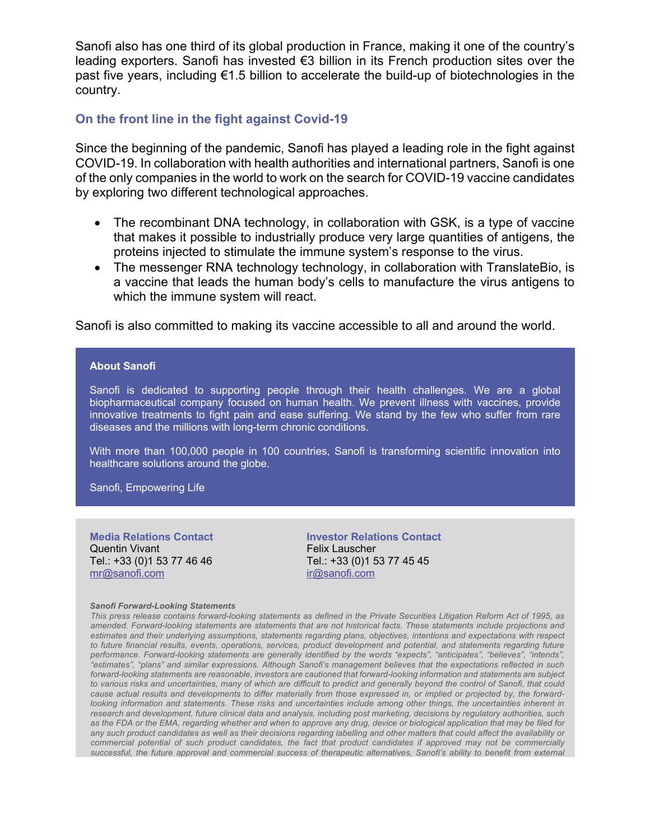Sanofi also has one third of its global production in France, making it one of the country's leading exporters. Sanofi has invested €3 billion in its French production sites over the past five years, including €1.5 billion to accelerate the build-up of biotechnologies in the country.

#### **On the front line in the fight against Covid-19**

Since the beginning of the pandemic, Sanofi has played a leading role in the fight against COVID-19. In collaboration with health authorities and international partners, Sanofi is one of the only companies in the world to work on the search for COVID-19 vaccine candidates by exploring two different technological approaches.

- The recombinant DNA technology, in collaboration with GSK, is a type of vaccine that makes it possible to industrially produce very large quantities of antigens, the proteins injected to stimulate the immune system's response to the virus.
- The messenger RNA technology technology, in collaboration with TranslateBio, is a vaccine that leads the human body's cells to manufacture the virus antigens to which the immune system will react.

Sanofi is also committed to making its vaccine accessible to all and around the world.

#### **About Sanofi**

Sanofi is dedicated to supporting people through their health challenges. We are a global biopharmaceutical company focused on human health. We prevent illness with vaccines, provide innovative treatments to fight pain and ease suffering. We stand by the few who suffer from rare diseases and the millions with long-term chronic conditions.

With more than 100,000 people in 100 countries, Sanofi is transforming scientific innovation into healthcare solutions around the globe.

Sanofi, Empowering Life

**Media Relations Contact** Quentin Vivant Tel.: +33 (0)1 53 77 46 46 mr@sanofi.com

**Investor Relations Contact** Felix Lauscher Tel.: +33 (0)1 53 77 45 45 ir@sanofi.com

#### *Sanofi Forward-Looking Statements*

*This press release contains forward-looking statements as defined in the Private Securities Litigation Reform Act of 1995, as amended. Forward-looking statements are statements that are not historical facts. These statements include projections and estimates and their underlying assumptions, statements regarding plans, objectives, intentions and expectations with respect to future financial results, events, operations, services, product development and potential, and statements regarding future performance. Forward-looking statements are generally identified by the words "expects", "anticipates", "believes", "intends", "estimates", "plans" and similar expressions. Although Sanofi's management believes that the expectations reflected in such forward-looking statements are reasonable, investors are cautioned that forward-looking information and statements are subject to various risks and uncertainties, many of which are difficult to predict and generally beyond the control of Sanofi, that could cause actual results and developments to differ materially from those expressed in, or implied or projected by, the forwardlooking information and statements. These risks and uncertainties include among other things, the uncertainties inherent in research and development, future clinical data and analysis, including post marketing, decisions by regulatory authorities, such as the FDA or the EMA, regarding whether and when to approve any drug, device or biological application that may be filed for any such product candidates as well as their decisions regarding labelling and other matters that could affect the availability or commercial potential of such product candidates, the fact that product candidates if approved may not be commercially successful, the future approval and commercial success of therapeutic alternatives, Sanofi's ability to benefit from external*